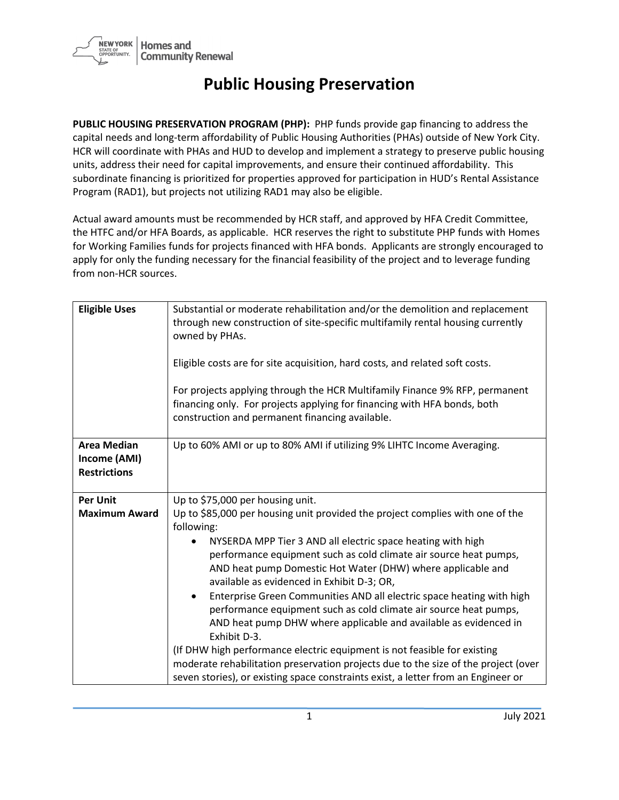

## **Public Housing Preservation**

**PUBLIC HOUSING PRESERVATION PROGRAM (PHP):** PHP funds provide gap financing to address the capital needs and long-term affordability of Public Housing Authorities (PHAs) outside of New York City. HCR will coordinate with PHAs and HUD to develop and implement a strategy to preserve public housing units, address their need for capital improvements, and ensure their continued affordability. This subordinate financing is prioritized for properties approved for participation in HUD's Rental Assistance Program (RAD1), but projects not utilizing RAD1 may also be eligible.

Actual award amounts must be recommended by HCR staff, and approved by HFA Credit Committee, the HTFC and/or HFA Boards, as applicable. HCR reserves the right to substitute PHP funds with Homes for Working Families funds for projects financed with HFA bonds. Applicants are strongly encouraged to apply for only the funding necessary for the financial feasibility of the project and to leverage funding from non-HCR sources.

| <b>Eligible Uses</b>                                      | Substantial or moderate rehabilitation and/or the demolition and replacement<br>through new construction of site-specific multifamily rental housing currently<br>owned by PHAs.<br>Eligible costs are for site acquisition, hard costs, and related soft costs.<br>For projects applying through the HCR Multifamily Finance 9% RFP, permanent<br>financing only. For projects applying for financing with HFA bonds, both<br>construction and permanent financing available.                                                                                                                                                                                                                                                         |
|-----------------------------------------------------------|----------------------------------------------------------------------------------------------------------------------------------------------------------------------------------------------------------------------------------------------------------------------------------------------------------------------------------------------------------------------------------------------------------------------------------------------------------------------------------------------------------------------------------------------------------------------------------------------------------------------------------------------------------------------------------------------------------------------------------------|
| <b>Area Median</b><br>Income (AMI)<br><b>Restrictions</b> | Up to 60% AMI or up to 80% AMI if utilizing 9% LIHTC Income Averaging.                                                                                                                                                                                                                                                                                                                                                                                                                                                                                                                                                                                                                                                                 |
| <b>Per Unit</b>                                           | Up to \$75,000 per housing unit.                                                                                                                                                                                                                                                                                                                                                                                                                                                                                                                                                                                                                                                                                                       |
| <b>Maximum Award</b>                                      | Up to \$85,000 per housing unit provided the project complies with one of the<br>following:                                                                                                                                                                                                                                                                                                                                                                                                                                                                                                                                                                                                                                            |
|                                                           | NYSERDA MPP Tier 3 AND all electric space heating with high<br>performance equipment such as cold climate air source heat pumps,<br>AND heat pump Domestic Hot Water (DHW) where applicable and<br>available as evidenced in Exhibit D-3; OR,<br>Enterprise Green Communities AND all electric space heating with high<br>performance equipment such as cold climate air source heat pumps,<br>AND heat pump DHW where applicable and available as evidenced in<br>Exhibit D-3.<br>(If DHW high performance electric equipment is not feasible for existing<br>moderate rehabilitation preservation projects due to the size of the project (over<br>seven stories), or existing space constraints exist, a letter from an Engineer or |